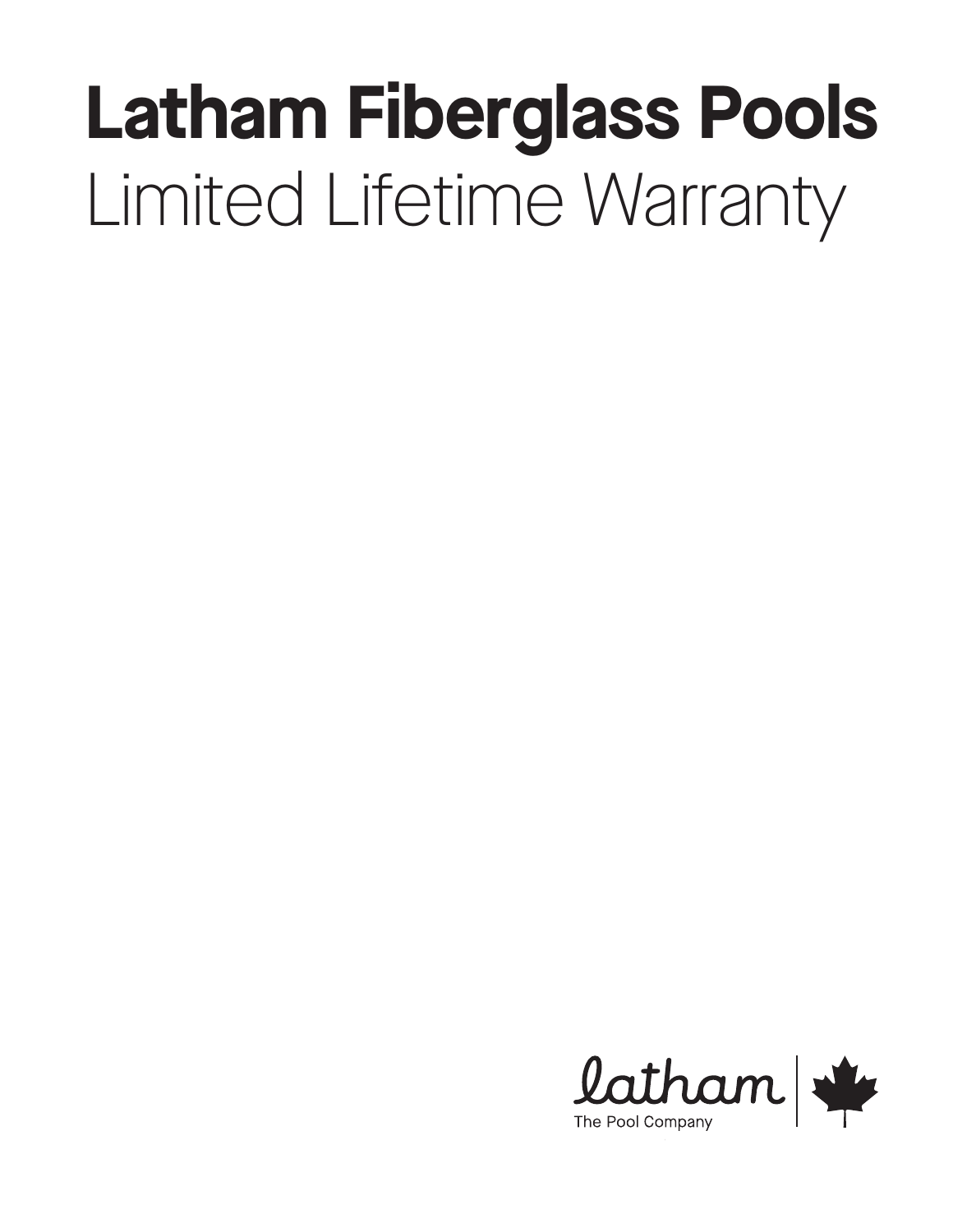# **Latham Fiberglass Pools** Limited Lifetime Warranty

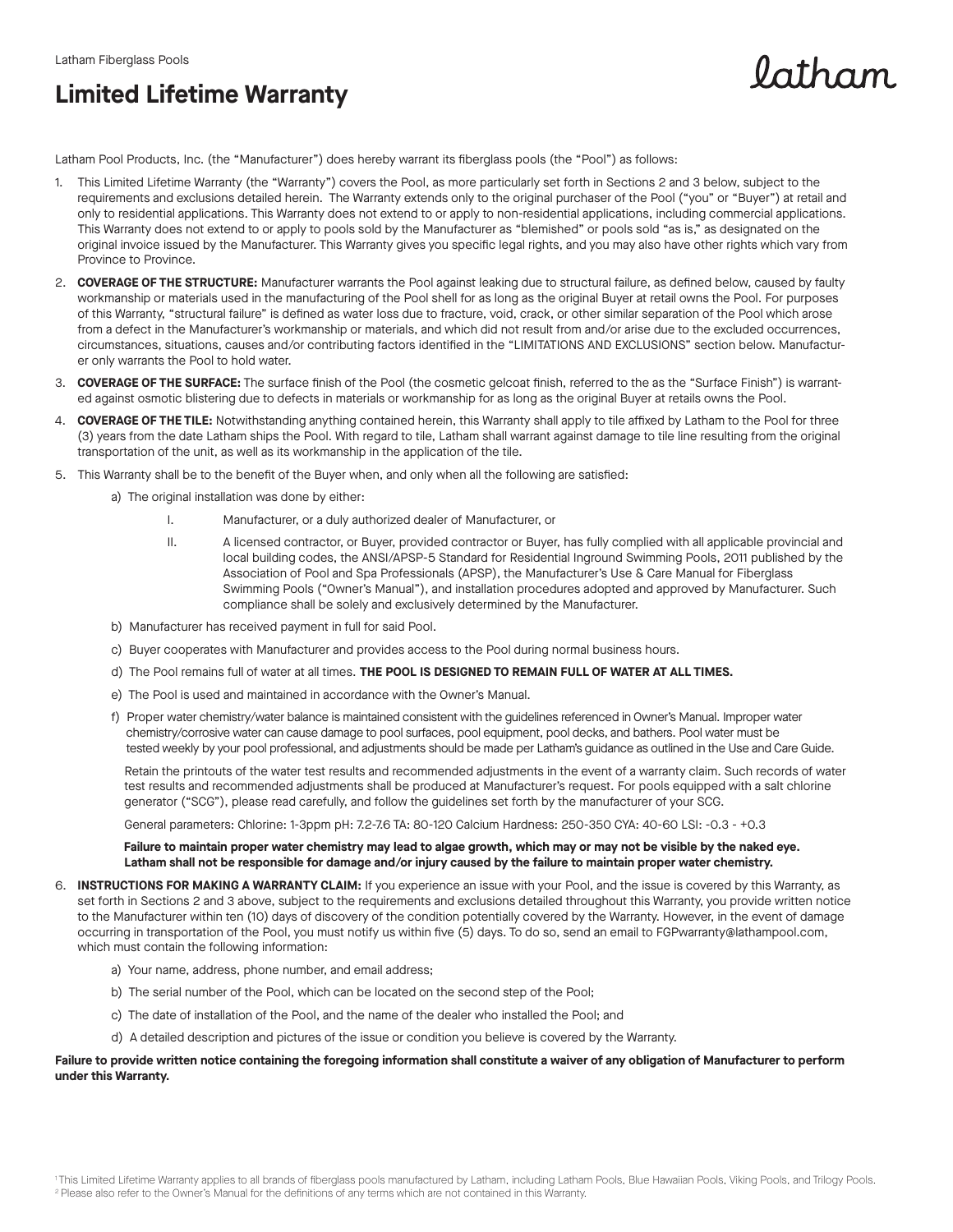### **Limited Lifetime Warranty**

 $\n *ath*$ am

Latham Pool Products, Inc. (the "Manufacturer") does hereby warrant its fiberglass pools (the "Pool") as follows:

- 1. This Limited Lifetime Warranty (the "Warranty") covers the Pool, as more particularly set forth in Sections 2 and 3 below, subject to the requirements and exclusions detailed herein. The Warranty extends only to the original purchaser of the Pool ("you" or "Buyer") at retail and only to residential applications. This Warranty does not extend to or apply to non-residential applications, including commercial applications. This Warranty does not extend to or apply to pools sold by the Manufacturer as "blemished" or pools sold "as is," as designated on the original invoice issued by the Manufacturer. This Warranty gives you specific legal rights, and you may also have other rights which vary from Province to Province.
- 2. **COVERAGE OF THE STRUCTURE:** Manufacturer warrants the Pool against leaking due to structural failure, as defined below, caused by faulty workmanship or materials used in the manufacturing of the Pool shell for as long as the original Buyer at retail owns the Pool. For purposes of this Warranty, "structural failure" is defined as water loss due to fracture, void, crack, or other similar separation of the Pool which arose from a defect in the Manufacturer's workmanship or materials, and which did not result from and/or arise due to the excluded occurrences, circumstances, situations, causes and/or contributing factors identified in the "LIMITATIONS AND EXCLUSIONS" section below. Manufacturer only warrants the Pool to hold water.
- 3. **COVERAGE OF THE SURFACE:** The surface finish of the Pool (the cosmetic gelcoat finish, referred to the as the "Surface Finish") is warranted against osmotic blistering due to defects in materials or workmanship for as long as the original Buyer at retails owns the Pool.
- 4. **COVERAGE OF THE TILE:** Notwithstanding anything contained herein, this Warranty shall apply to tile affixed by Latham to the Pool for three (3) years from the date Latham ships the Pool. With regard to tile, Latham shall warrant against damage to tile line resulting from the original transportation of the unit, as well as its workmanship in the application of the tile.
- 5. This Warranty shall be to the benefit of the Buyer when, and only when all the following are satisfied:
	- a) The original installation was done by either:
		- I. Manufacturer, or a duly authorized dealer of Manufacturer, or
		- II. A licensed contractor, or Buyer, provided contractor or Buyer, has fully complied with all applicable provincial and local building codes, the ANSI/APSP-5 Standard for Residential Inground Swimming Pools, 2011 published by the Association of Pool and Spa Professionals (APSP), the Manufacturer's Use & Care Manual for Fiberglass Swimming Pools ("Owner's Manual"), and installation procedures adopted and approved by Manufacturer. Such compliance shall be solely and exclusively determined by the Manufacturer.
	- b) Manufacturer has received payment in full for said Pool.
	- c) Buyer cooperates with Manufacturer and provides access to the Pool during normal business hours.
	- d) The Pool remains full of water at all times. **THE POOL IS DESIGNED TO REMAIN FULL OF WATER AT ALL TIMES.**
	- e) The Pool is used and maintained in accordance with the Owner's Manual.
	- f) Proper water chemistry/water balance is maintained consistent with the guidelines referenced in Owner's Manual. Improper water chemistry/corrosive water can cause damage to pool surfaces, pool equipment, pool decks, and bathers. Pool water must be tested weekly by your pool professional, and adjustments should be made per Latham's guidance as outlined in the Use and Care Guide.

 Retain the printouts of the water test results and recommended adjustments in the event of a warranty claim. Such records of water test results and recommended adjustments shall be produced at Manufacturer's request. For pools equipped with a salt chlorine generator ("SCG"), please read carefully, and follow the guidelines set forth by the manufacturer of your SCG.

General parameters: Chlorine: 1-3ppm pH: 7.2-7.6 TA: 80-120 Calcium Hardness: 250-350 CYA: 40-60 LSI: -0.3 - +0.3

#### **Failure to maintain proper water chemistry may lead to algae growth, which may or may not be visible by the naked eye. Latham shall not be responsible for damage and/or injury caused by the failure to maintain proper water chemistry.**

- 6. **INSTRUCTIONS FOR MAKING A WARRANTY CLAIM:** If you experience an issue with your Pool, and the issue is covered by this Warranty, as set forth in Sections 2 and 3 above, subject to the requirements and exclusions detailed throughout this Warranty, you provide written notice to the Manufacturer within ten (10) days of discovery of the condition potentially covered by the Warranty. However, in the event of damage occurring in transportation of the Pool, you must notify us within five (5) days. To do so, send an email to FGPwarranty@lathampool.com, which must contain the following information:
	- a) Your name, address, phone number, and email address;
	- b) The serial number of the Pool, which can be located on the second step of the Pool;
	- c) The date of installation of the Pool, and the name of the dealer who installed the Pool; and
	- d) A detailed description and pictures of the issue or condition you believe is covered by the Warranty.

#### **Failure to provide written notice containing the foregoing information shall constitute a waiver of any obligation of Manufacturer to perform under this Warranty.**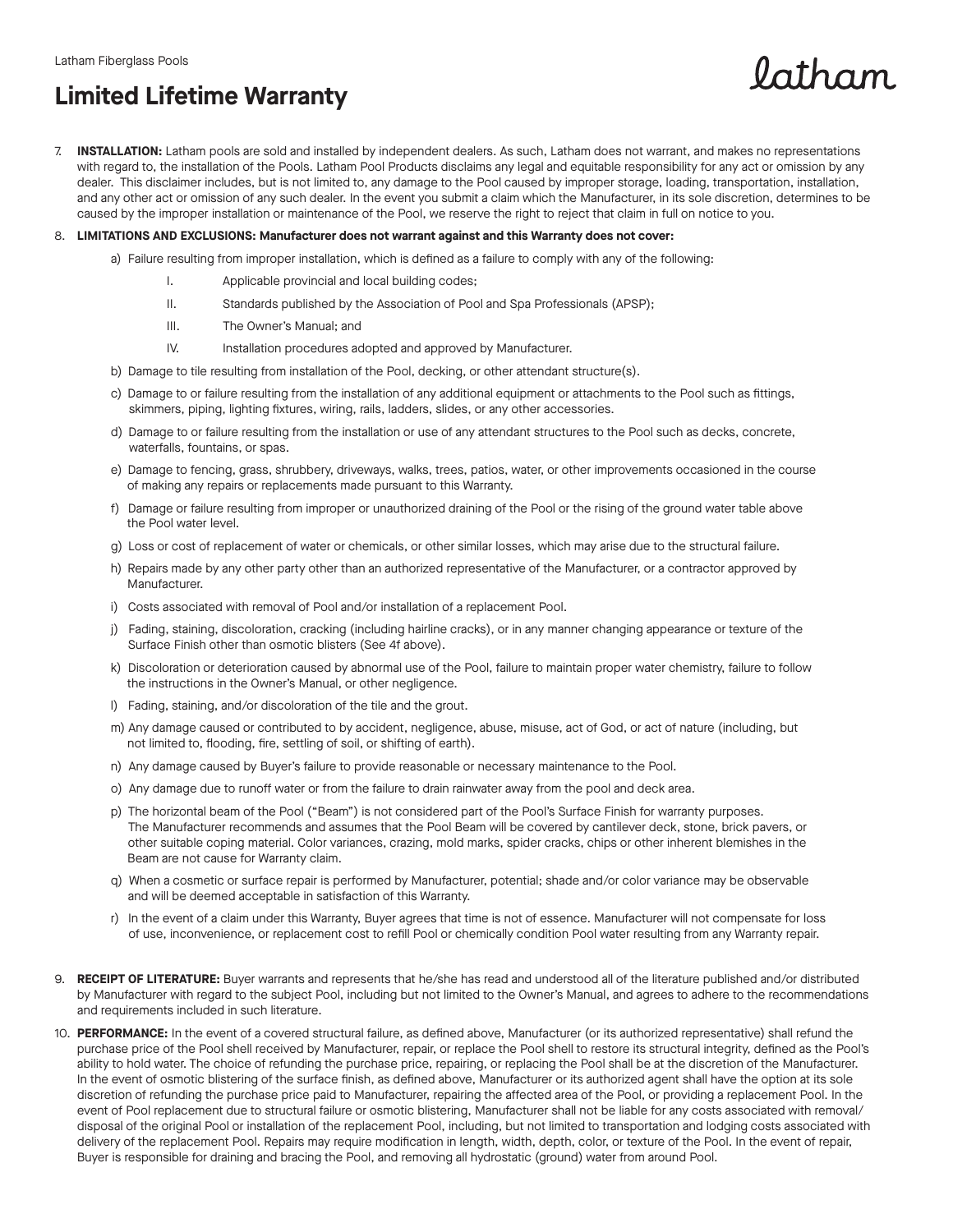## **Limited Lifetime Warranty**

7. **INSTALLATION:** Latham pools are sold and installed by independent dealers. As such, Latham does not warrant, and makes no representations with regard to, the installation of the Pools. Latham Pool Products disclaims any legal and equitable responsibility for any act or omission by any dealer. This disclaimer includes, but is not limited to, any damage to the Pool caused by improper storage, loading, transportation, installation, and any other act or omission of any such dealer. In the event you submit a claim which the Manufacturer, in its sole discretion, determines to be caused by the improper installation or maintenance of the Pool, we reserve the right to reject that claim in full on notice to you.

 $0$ atham

#### 8. **LIMITATIONS AND EXCLUSIONS: Manufacturer does not warrant against and this Warranty does not cover:**

- a) Failure resulting from improper installation, which is defined as a failure to comply with any of the following:
	- I. Applicable provincial and local building codes;
	- II. Standards published by the Association of Pool and Spa Professionals (APSP);
	- III. The Owner's Manual; and
	- IV. Installation procedures adopted and approved by Manufacturer.
- b) Damage to tile resulting from installation of the Pool, decking, or other attendant structure(s).
- c) Damage to or failure resulting from the installation of any additional equipment or attachments to the Pool such as fittings, skimmers, piping, lighting fixtures, wiring, rails, ladders, slides, or any other accessories.
- d) Damage to or failure resulting from the installation or use of any attendant structures to the Pool such as decks, concrete, waterfalls, fountains, or spas.
- e) Damage to fencing, grass, shrubbery, driveways, walks, trees, patios, water, or other improvements occasioned in the course of making any repairs or replacements made pursuant to this Warranty.
- f) Damage or failure resulting from improper or unauthorized draining of the Pool or the rising of the ground water table above the Pool water level.
- g) Loss or cost of replacement of water or chemicals, or other similar losses, which may arise due to the structural failure.
- h) Repairs made by any other party other than an authorized representative of the Manufacturer, or a contractor approved by Manufacturer.
- i) Costs associated with removal of Pool and/or installation of a replacement Pool.
- j) Fading, staining, discoloration, cracking (including hairline cracks), or in any manner changing appearance or texture of the Surface Finish other than osmotic blisters (See 4f above).
- k) Discoloration or deterioration caused by abnormal use of the Pool, failure to maintain proper water chemistry, failure to follow the instructions in the Owner's Manual, or other negligence.
- l) Fading, staining, and/or discoloration of the tile and the grout.
- m) Any damage caused or contributed to by accident, negligence, abuse, misuse, act of God, or act of nature (including, but not limited to, flooding, fire, settling of soil, or shifting of earth).
- n) Any damage caused by Buyer's failure to provide reasonable or necessary maintenance to the Pool.
- o) Any damage due to runoff water or from the failure to drain rainwater away from the pool and deck area.
- p) The horizontal beam of the Pool ("Beam") is not considered part of the Pool's Surface Finish for warranty purposes. The Manufacturer recommends and assumes that the Pool Beam will be covered by cantilever deck, stone, brick pavers, or other suitable coping material. Color variances, crazing, mold marks, spider cracks, chips or other inherent blemishes in the Beam are not cause for Warranty claim.
- q) When a cosmetic or surface repair is performed by Manufacturer, potential; shade and/or color variance may be observable and will be deemed acceptable in satisfaction of this Warranty.
- r) In the event of a claim under this Warranty, Buyer agrees that time is not of essence. Manufacturer will not compensate for loss of use, inconvenience, or replacement cost to refill Pool or chemically condition Pool water resulting from any Warranty repair.
- 9. **RECEIPT OF LITERATURE:** Buyer warrants and represents that he/she has read and understood all of the literature published and/or distributed by Manufacturer with regard to the subject Pool, including but not limited to the Owner's Manual, and agrees to adhere to the recommendations and requirements included in such literature.
- 10. **PERFORMANCE:** In the event of a covered structural failure, as defined above, Manufacturer (or its authorized representative) shall refund the purchase price of the Pool shell received by Manufacturer, repair, or replace the Pool shell to restore its structural integrity, defined as the Pool's ability to hold water. The choice of refunding the purchase price, repairing, or replacing the Pool shall be at the discretion of the Manufacturer. In the event of osmotic blistering of the surface finish, as defined above, Manufacturer or its authorized agent shall have the option at its sole discretion of refunding the purchase price paid to Manufacturer, repairing the affected area of the Pool, or providing a replacement Pool. In the event of Pool replacement due to structural failure or osmotic blistering, Manufacturer shall not be liable for any costs associated with removal/ disposal of the original Pool or installation of the replacement Pool, including, but not limited to transportation and lodging costs associated with delivery of the replacement Pool. Repairs may require modification in length, width, depth, color, or texture of the Pool. In the event of repair, Buyer is responsible for draining and bracing the Pool, and removing all hydrostatic (ground) water from around Pool.